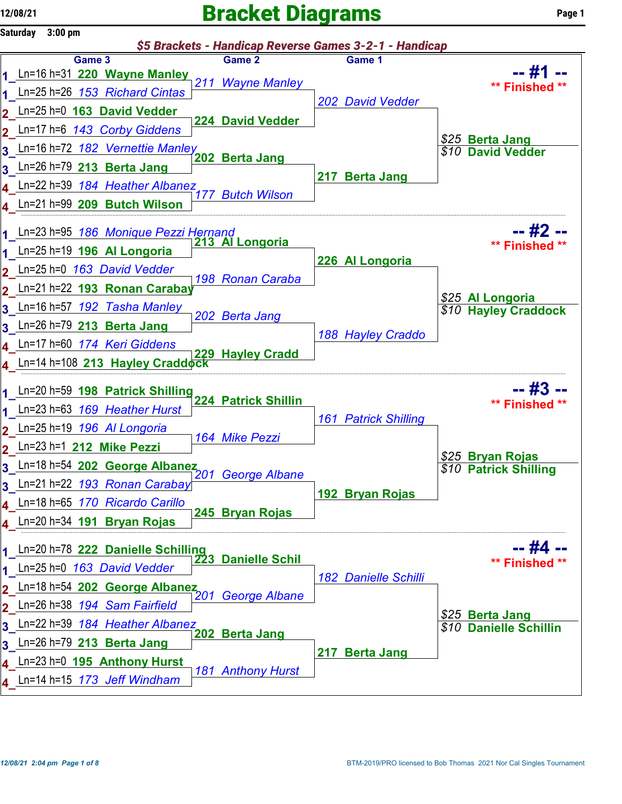## $12/08/21$  Page 1



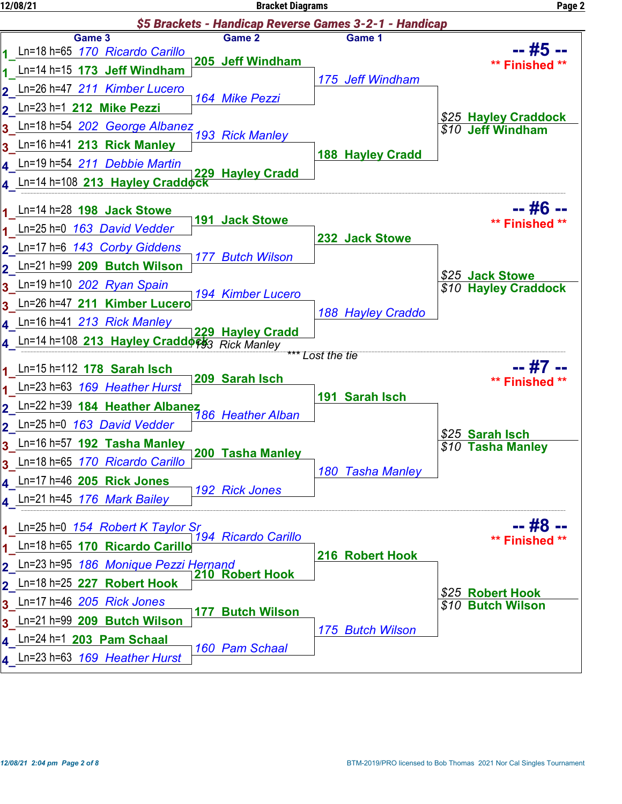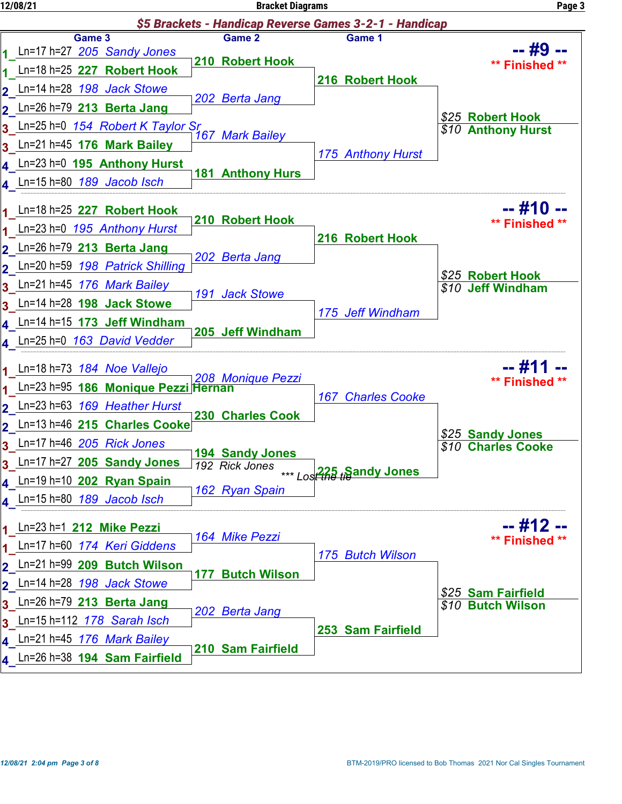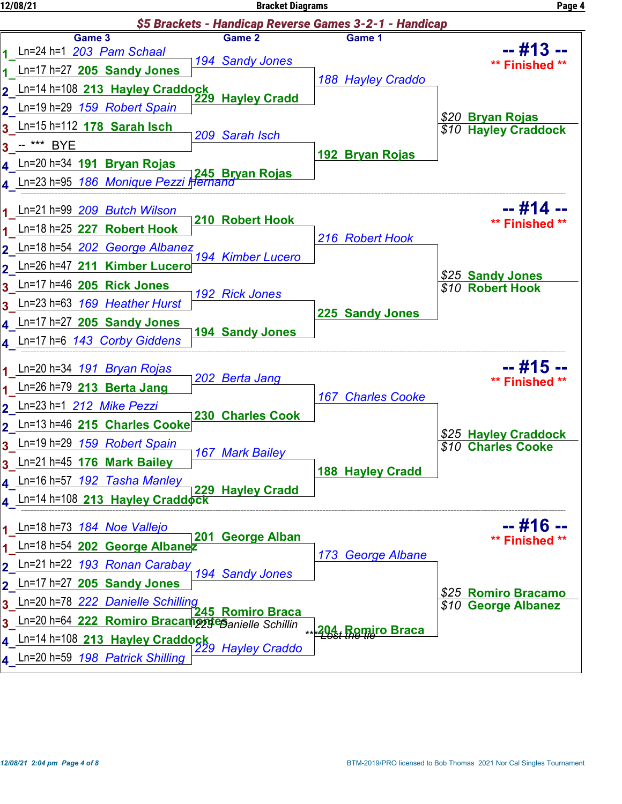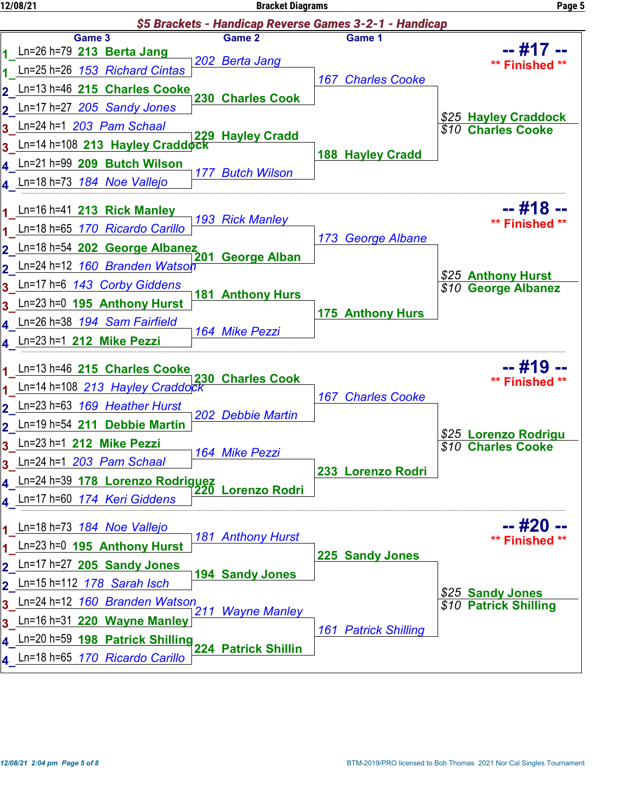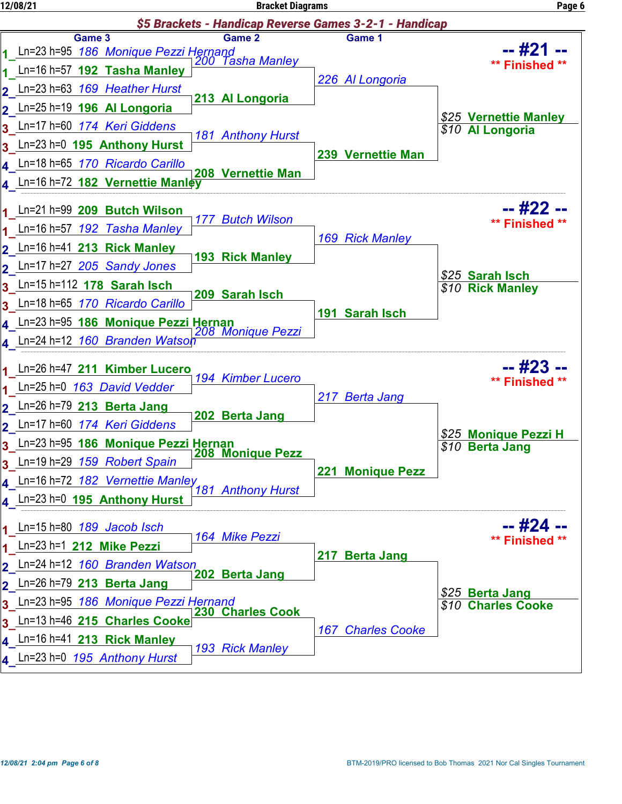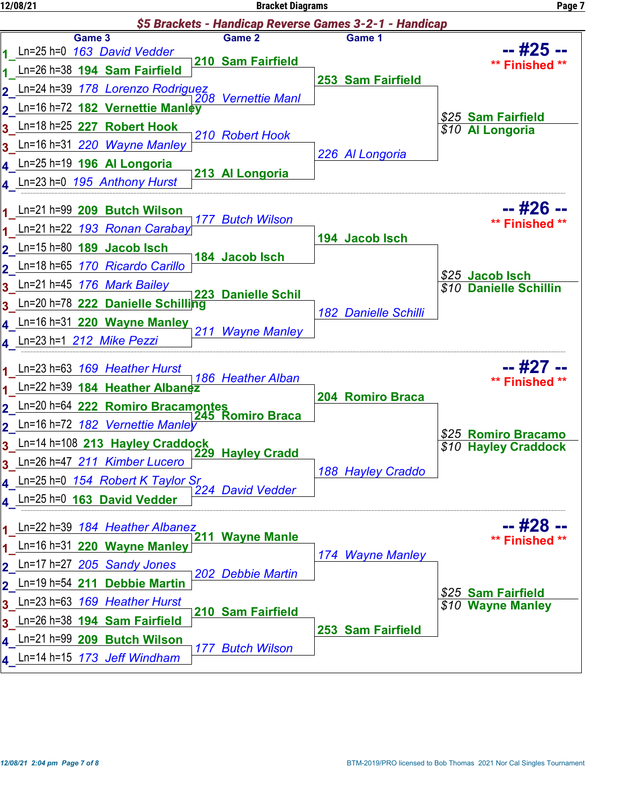